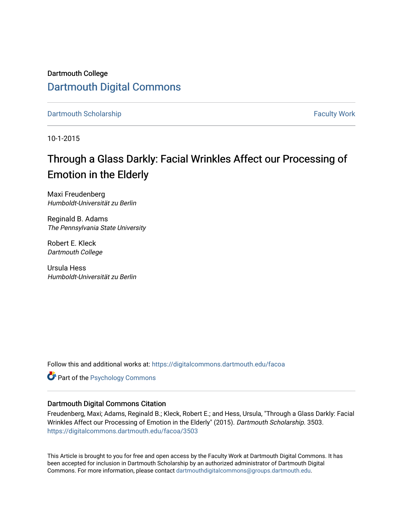Dartmouth College [Dartmouth Digital Commons](https://digitalcommons.dartmouth.edu/) 

[Dartmouth Scholarship](https://digitalcommons.dartmouth.edu/facoa) Faculty Work

10-1-2015

# Through a Glass Darkly: Facial Wrinkles Affect our Processing of Emotion in the Elderly

Maxi Freudenberg Humboldt-Universität zu Berlin

Reginald B. Adams The Pennsylvania State University

Robert E. Kleck Dartmouth College

Ursula Hess Humboldt-Universität zu Berlin

Follow this and additional works at: [https://digitalcommons.dartmouth.edu/facoa](https://digitalcommons.dartmouth.edu/facoa?utm_source=digitalcommons.dartmouth.edu%2Ffacoa%2F3503&utm_medium=PDF&utm_campaign=PDFCoverPages)

**Part of the Psychology Commons** 

# Dartmouth Digital Commons Citation

Freudenberg, Maxi; Adams, Reginald B.; Kleck, Robert E.; and Hess, Ursula, "Through a Glass Darkly: Facial Wrinkles Affect our Processing of Emotion in the Elderly" (2015). Dartmouth Scholarship. 3503. [https://digitalcommons.dartmouth.edu/facoa/3503](https://digitalcommons.dartmouth.edu/facoa/3503?utm_source=digitalcommons.dartmouth.edu%2Ffacoa%2F3503&utm_medium=PDF&utm_campaign=PDFCoverPages) 

This Article is brought to you for free and open access by the Faculty Work at Dartmouth Digital Commons. It has been accepted for inclusion in Dartmouth Scholarship by an authorized administrator of Dartmouth Digital Commons. For more information, please contact [dartmouthdigitalcommons@groups.dartmouth.edu](mailto:dartmouthdigitalcommons@groups.dartmouth.edu).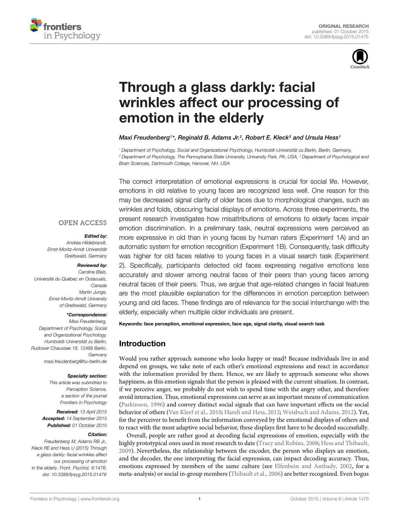



# Through a glass darkly: facial [wrinkles affect our processing of](http://journal.frontiersin.org/article/10.3389/fpsyg.2015.01476/abstract) emotion in the elderly

#### *[Maxi Freudenberg1](http://loop.frontiersin.org/people/229335/overview)\*, [Reginald B. Adams Jr.2](http://loop.frontiersin.org/people/9464/overview), [Robert E. Kleck3](http://loop.frontiersin.org/people/277791/overview) and [Ursula Hess1](http://loop.frontiersin.org/people/68751/overview)*

*<sup>1</sup> Department of Psychology, Social and Organizational Psychology, Humboldt-Universität zu Berlin, Berlin, Germany, <sup>2</sup> Department of Psychology, The Pennsylvania State University, University Park, PA, USA, <sup>3</sup> Department of Psychological and Brain Sciences, Dartmouth College, Hanover, NH, USA*

The correct interpretation of emotional expressions is crucial for social life. However, emotions in old relative to young faces are recognized less well. One reason for this may be decreased signal clarity of older faces due to morphological changes, such as wrinkles and folds, obscuring facial displays of emotions. Across three experiments, the present research investigates how misattributions of emotions to elderly faces impair emotion discrimination. In a preliminary task, neutral expressions were perceived as more expressive in old than in young faces by human raters (Experiment 1A) and an automatic system for emotion recognition (Experiment 1B). Consequently, task difficulty was higher for old faces relative to young faces in a visual search task (Experiment 2). Specifically, participants detected old faces expressing negative emotions less accurately and slower among neutral faces of their peers than young faces among neutral faces of their peers. Thus, we argue that age-related changes in facial features are the most plausible explanation for the differences in emotion perception between young and old faces. These findings are of relevance for the social interchange with the elderly, especially when multiple older individuals are present.

Keywords: face perception, emotional expression, face age, signal clarity, visual search task

# Introduction

Would you rather approach someone who looks happy or mad? Because individuals live in and depend on groups, we take note of each other's emotional expressions and react in accordance with the information provided by them. Hence, we are likely to approach someone who shows happiness, as this emotion signals that the person is pleased with the current situation. In contrast, if we perceive anger, we probably do not wish to spend time with the angry other, and therefore avoid interaction. Thus, emotional expressions can serve as an important means of communication [\(Parkinson, 1996\)](#page-12-0) and convey distinct social signals that can have important effects on the social behavior of others [\(Van Kleef et al.](#page-12-1), [2010;](#page-12-1) [Hareli and Hess](#page-11-0), [2012;](#page-11-0) [Weisbuch and Adams, 2012](#page-12-2)). Yet, for the perceiver to benefit from the information conveyed by the emotional displays of others and to react with the most adaptive social behavior, these displays first have to be decoded successfully.

Overall, people are rather good at decoding facial expressions of emotion, especially with the highly prototypical ones used in most research to date [\(Tracy and Robins, 2008](#page-12-3); [Hess and Thibault](#page-11-1), [2009\)](#page-11-1). Nevertheless, the relationship between the encoder, the person who displays an emotion, and the decoder, the one interpreting the facial expression, can impact decoding accuracy. Thus, emotions expressed by members of the same culture (see [Elfenbein and Ambady](#page-11-2), [2002](#page-11-2), for a meta-analysis) or social in-group members [\(Thibault et al., 2006\)](#page-12-4) are better recognized. Even bogus

#### **OPEN ACCESS**

#### *Edited by:*

*Andrea Hildebrandt, Ernst-Moritz-Arndt Universität Greifswald, Germany*

#### *Reviewed by:*

*Caroline Blais, Université du Québec en Outaouais, Canada Martin Junge, Ernst-Moritz-Arndt University of Greifswald, Germany*

#### *\*Correspondence:*

*Maxi Freudenberg, Department of Psychology, Social and Organizational Psychology, Humboldt-Universität zu Berlin, Rudower Chaussee 18, 12489 Berlin, Germany maxi.freudenberg@hu-berlin.de*

#### *Specialty section:*

*This article was submitted to Perception Science, a section of the journal Frontiers in Psychology*

*Received: 13 April 2015 Accepted: 14 September 2015 Published: 01 October 2015*

#### *Citation:*

*Freudenberg M, Adams RB Jr., Kleck RE and Hess U (2015) Through a glass darkly: facial wrinkles affect our processing of emotion in the elderly. Front. Psychol. 6:1476. doi: [10.3389/fpsyg.2015.01476](http://dx.doi.org/10.3389/fpsyg.2015.01476)*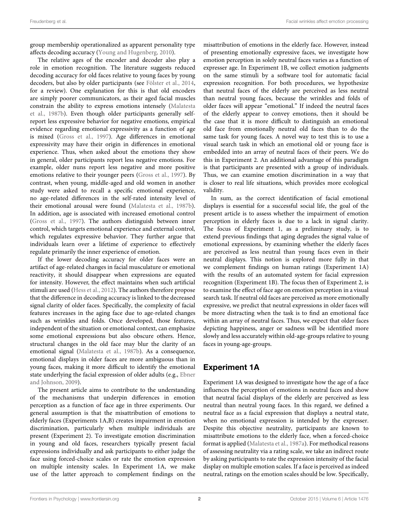group membership operationalized as apparent personality type affects decoding accuracy [\(Young and Hugenberg, 2010\)](#page-12-5).

The relative ages of the encoder and decoder also play a role in emotion recognition. The literature suggests reduced decoding accuracy for old faces relative to young faces by young decoders, but also by older participants (see [Fölster et al.](#page-11-3), [2014](#page-11-3), for a review). One explanation for this is that old encoders are simply poorer communicators, as their aged facial muscles cons[train the ability to express emotions intensely \(](#page-11-4)Malatesta et al., [1987b](#page-11-4)). Even though older participants generally selfreport less expressive behavior for negative emotions, empirical evidence regarding emotional expressivity as a function of age is mixed [\(Gross et al., 1997](#page-11-5)). Age differences in emotional expressivity may have their origin in differences in emotional experience. Thus, when asked about the emotions they show in general, older participants report less negative emotions. For example, older nuns report less negative and more positive emotions relative to their younger peers [\(Gross et al.](#page-11-5), [1997](#page-11-5)). By contrast, when young, middle-aged and old women in another study were asked to recall a specific emotional experience, no age-related differences in the self-rated intensity level of their emotional arousal were found [\(Malatesta et al.](#page-11-4), [1987b](#page-11-4)). In addition, age is associated with increased emotional control [\(Gross et al.](#page-11-5), [1997\)](#page-11-5). The authors distinguish between inner control, which targets emotional experience and external control, which regulates expressive behavior. They further argue that individuals learn over a lifetime of experience to effectively regulate primarily the inner experience of emotion.

If the lower decoding accuracy for older faces were an artifact of age-related changes in facial musculature or emotional reactivity, it should disappear when expressions are equated for intensity. However, the effect maintains when such artificial stimuli are used [\(Hess et al.](#page-11-6), [2012](#page-11-6)). The authors therefore propose that the difference in decoding accuracy is linked to the decreased signal clarity of older faces. Specifically, the complexity of facial features increases in the aging face due to age-related changes such as wrinkles and folds. Once developed, those features, independent of the situation or emotional context, can emphasize some emotional expressions but also obscure others. Hence, structural changes in the old face may blur the clarity of an emotional signal [\(Malatesta et al., 1987b](#page-11-4)). As a consequence, emotional displays in older faces are more ambiguous than in young faces, making it more difficult to identify the emotional state underl[ying the facial expression of older adults \(e.g.,](#page-11-7) Ebner and Johnson, [2009\)](#page-11-7).

The present article aims to contribute to the understanding of the mechanisms that underpin differences in emotion perception as a function of face age in three experiments. Our general assumption is that the misattribution of emotions to elderly faces (Experiments 1A,B) creates impairment in emotion discrimination, particularly when multiple individuals are present (Experiment 2). To investigate emotion discrimination in young and old faces, researchers typically present facial expressions individually and ask participants to either judge the face using forced-choice scales or rate the emotion expression on multiple intensity scales. In Experiment 1A, we make use of the latter approach to complement findings on the

misattribution of emotions in the elderly face. However, instead of presenting emotionally expressive faces, we investigate how emotion perception in solely neutral faces varies as a function of expresser age. In Experiment 1B, we collect emotion judgments on the same stimuli by a software tool for automatic facial expression recognition. For both procedures, we hypothesize that neutral faces of the elderly are perceived as less neutral than neutral young faces, because the wrinkles and folds of older faces will appear "emotional." If indeed the neutral faces of the elderly appear to convey emotions, then it should be the case that it is more difficult to distinguish an emotional old face from emotionally neutral old faces than to do the same task for young faces. A novel way to test this is to use a visual search task in which an emotional old or young face is embedded into an array of neutral faces of their peers. We do this in Experiment 2. An additional advantage of this paradigm is that participants are presented with a group of individuals. Thus, we can examine emotion discrimination in a way that is closer to real life situations, which provides more ecological validity.

In sum, as the correct identification of facial emotional displays is essential for a successful social life, the goal of the present article is to assess whether the impairment of emotion perception in elderly faces is due to a lack in signal clarity. The focus of Experiment 1, as a preliminary study, is to extend previous findings that aging degrades the signal value of emotional expressions, by examining whether the elderly faces are perceived as less neutral than young faces even in their neutral displays. This notion is explored more fully in that we complement findings on human ratings (Experiment 1A) with the results of an automated system for facial expression recognition (Experiment 1B). The focus then of Experiment 2, is to examine the effect of face age on emotion perception in a visual search task. If neutral old faces are perceived as more emotionally expressive, we predict that neutral expressions in older faces will be more distracting when the task is to find an emotional face within an array of neutral faces. Thus, we expect that older faces depicting happiness, anger or sadness will be identified more slowly and less accurately within old-age-groups relative to young faces in young-age-groups.

# Experiment 1A

Experiment 1A was designed to investigate how the age of a face influences the perception of emotions in neutral faces and show that neutral facial displays of the elderly are perceived as less neutral than neutral young faces. In this regard, we defined a neutral face as a facial expression that displays a neutral state, when no emotional expression is intended by the expresser. Despite this objective neutrality, participants are known to misattribute emotions to the elderly face, when a forced-choice format is applied [\(Malatesta et al.](#page-11-8), [1987a](#page-11-8)). For methodical reasons of assessing neutrality via a rating scale, we take an indirect route by asking participants to rate the expression intensity of the facial display on multiple emotion scales. If a face is perceived as indeed neutral, ratings on the emotion scales should be low. Specifically,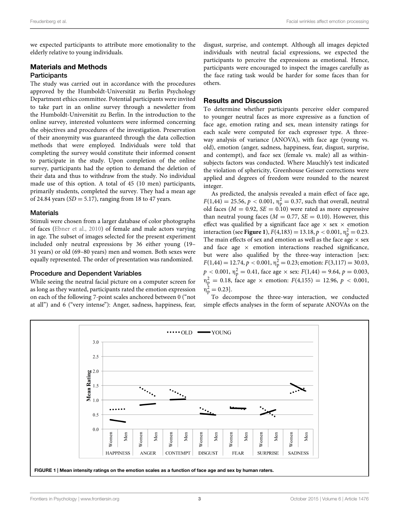we expected participants to attribute more emotionality to the elderly relative to young individuals.

# Materials and Methods **Participants**

The study was carried out in accordance with the procedures approved by the Humboldt-Universität zu Berlin Psychology Department ethics committee. Potential participants were invited to take part in an online survey through a newsletter from the Humboldt-Universität zu Berlin. In the introduction to the online survey, interested volunteers were informed concerning the objectives and procedures of the investigation. Preservation of their anonymity was guaranteed through the data collection methods that were employed. Individuals were told that completing the survey would constitute their informed consent to participate in the study. Upon completion of the online survey, participants had the option to demand the deletion of their data and thus to withdraw from the study. No individual made use of this option. A total of 45 (10 men) participants, primarily students, completed the survey. They had a mean age of 24.84 years (*SD* = 5.17), ranging from 18 to 47 years.

# **Materials**

Stimuli were chosen from a larger database of color photographs of faces [\(Ebner et al., 2010\)](#page-11-9) of female and male actors varying in age. The subset of images selected for the present experiment included only neutral expressions by 36 either young (19– 31 years) or old (69–80 years) men and women. Both sexes were equally represented. The order of presentation was randomized.

# Procedure and Dependent Variables

While seeing the neutral facial picture on a computer screen for as long as they wanted, participants rated the emotion expression on each of the following 7-point scales anchored between 0 ("not at all") and 6 ("very intense"): Anger, sadness, happiness, fear, disgust, surprise, and contempt. Although all images depicted individuals with neutral facial expressions, we expected the participants to perceive the expressions as emotional. Hence, participants were encouraged to inspect the images carefully as the face rating task would be harder for some faces than for others.

# Results and Discussion

To determine whether participants perceive older compared to younger neutral faces as more expressive as a function of face age, emotion rating and sex, mean intensity ratings for each scale were computed for each expresser type. A threeway analysis of variance (ANOVA), with face age (young vs. old), emotion (anger, sadness, happiness, fear, disgust, surprise, and contempt), and face sex (female vs. male) all as withinsubjects factors was conducted. Where Mauchly's test indicated the violation of sphericity, Greenhouse Geisser corrections were applied and degrees of freedom were rounded to the nearest integer.

As predicted, the analysis revealed a main effect of face age,  $F(1,44) = 25.56, p < 0.001, \eta_{\rm p}^2 = 0.37$ , such that overall, neutral old faces ( $M = 0.92$ ,  $SE = 0.10$ ) were rated as more expressive than neutral young faces  $(M = 0.77, SE = 0.10)$ . However, this effect was qualified by a significant face age  $\times$  sex  $\times$  emotion interaction (see **[Figure 1](#page-3-0)**),  $F(4,183) = 13.18$ ,  $p < 0.001$ ,  $\eta_p^2 = 0.23$ .<br>The main effects of sex and emotion as well as the face age  $\times$  sex The main effects of sex and emotion as well as the face age  $\times$  sex and face age  $\times$  emotion interactions reached significance, but were also qualified by the three-way interaction [sex:  $F(1,44) = 12.74, p < 0.001, \eta_p^2 = 0.23$ ; emotion:  $F(3,117) = 30.03$ ,  $p < 0.001$ ,  $\eta_p^2 = 0.41$ , face age  $\times$  sex:  $F(1,44) = 9.64$ ,  $p = 0.003$ ,  $\eta_p^2 = 0.18$ , face age  $\times$  emotion:  $F(4,155) = 12.96$ ,  $p < 0.001$ ,  $η<sub>p</sub><sup>2</sup>$  $= 0.23$ ].

To decompose the three-way interaction, we conducted simple effects analyses in the form of separate ANOVAs on the

<span id="page-3-0"></span>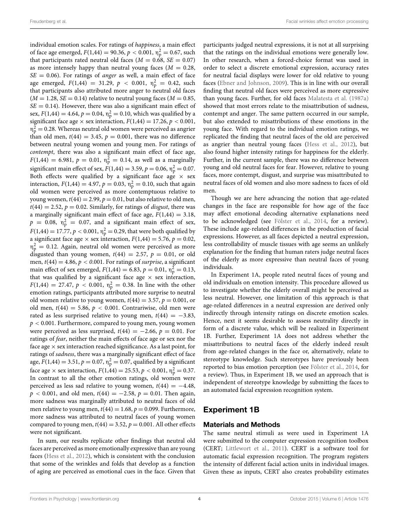individual emotion scales. For ratings of *happiness*, a main effect of face age emerged,  $F(1,44) = 90.36, p < 0.001, \eta_{\rm p}^2 = 0.67$ , such that participants rated neutral old faces  $(M = 0.68, SE = 0.07)$ as more intensely happy than neutral young faces  $(M = 0.28,$  $SE = 0.06$ ). For ratings of *anger* as well, a main effect of face age emerged,  $F(1,44) = 31.29$ ,  $p < 0.001$ ,  $\eta_p^2 = 0.42$ , such that participants also attributed more anger to neutral old faces  $(M = 1.28, SE = 0.14)$  relative to neutral young faces  $(M = 0.85,$  $SE = 0.14$ ). However, there was also a significant main effect of sex,  $F(1,44) = 4.64$ ,  $p = 0.04$ ,  $\eta_p^2 = 0.10$ , which was qualified by a significant face age  $\times$  sex interaction,  $F(1,44) = 17.26$ ,  $p < 0.001$ ,  $\eta_{\rm p}^2$  = 0.28. Whereas neutral old women were perceived as angrier than old men,  $t(44) = 3.45$ ,  $p = 0.001$ , there was no difference between neutral young women and young men. For ratings of *contempt*, there was also a significant main effect of face age,  $F(1,44) = 6.981, p = 0.01, \eta_{\rm p}^2 = 0.14$ , as well as a marginally significant main effect of sex,  $F(1,44) = 3.59, p = 0.06, \eta_{\rm p}^2 = 0.07$ . Both effects were qualified by a significant face age  $\times$  sex interaction,  $F(1,44) = 4.97$ ,  $p = 0.03$ ,  $\eta_{\rm p}^2 = 0.10$ , such that again old women were perceived as more contemptuous relative to young women,  $t(44) = 2.99$ ,  $p = 0.01$ , but also relative to old men,  $t(44) = 2.52$ ,  $p = 0.02$ . Similarly, for ratings of *disgust*, there was a marginally significant main effect of face age, *F*(1,44) = 3.18,  $p = 0.08$ ,  $\eta_p^2 = 0.07$ , and a significant main effect of sex,  $F(1,44) = 17.77, p < 0.001, \eta_{\rm p}^2 = 0.29$ , that were both qualified by a significant face age  $\times$  sex interaction,  $F(1,44) = 5.76$ ,  $p = 0.02$ ,  $\eta_{\rm p}^2 = 0.12$ . Again, neutral old women were perceived as more disgusted than young women,  $t(44) = 2.57$ ,  $p = 0.01$ , or old men,  $t(44) = 4.86$ ,  $p < 0.001$ . For ratings of *surprise*, a significant main effect of sex emerged,  $F(1,44) = 6.83, p = 0.01, \eta_{\rm p}^2 = 0.13,$ that was qualified by a significant face age  $\times$  sex interaction,  $F(1,44) = 27.47, p < 0.001, \eta_{\rm p}^2 = 0.38$ . In line with the other emotion ratings, participants attributed more surprise to neutral old women relative to young women,  $t(44) = 3.57$ ,  $p = 0.001$ , or old men,  $t(44) = 5.86$ ,  $p < 0.001$ . Contrariwise, old men were rated as less surprised relative to young men,  $t(44) = -3.83$ , *p <* 0.001. Furthermore, compared to young men, young women were perceived as less surprised,  $t(44) = -2.66$ ,  $p = 0.01$ . For ratings of *fear*, neither the main effects of face age or sex nor the face age  $\times$  sex interaction reached significance. As a last point, for ratings of *sadness*, there was a marginally significant effect of face age,  $F(1,44) = 3.51$ ,  $p = 0.07$ ,  $\eta_{\rm p}^2 = 0.07$ , qualified by a significant face age  $\times$  sex interaction,  $F(1,44) = 25.53, p < 0.001, \eta_{\rm p}^2 = 0.37$ . In contrast to all the other emotion ratings, old women were perceived as less sad relative to young women,  $t(44) = -4.48$ ,  $p < 0.001$ , and old men,  $t(44) = -2.58$ ,  $p = 0.01$ . Then again, more sadness was marginally attributed to neutral faces of old men relative to young men,  $t(44) = 1.68$ ,  $p = 0.099$ . Furthermore, more sadness was attributed to neutral faces of young women compared to young men,  $t(44) = 3.52$ ,  $p = 0.001$ . All other effects were not significant.

In sum, our results replicate other findings that neutral old faces are perceived as more emotionally expressive than are young faces [\(Hess et al.](#page-11-6), [2012\)](#page-11-6), which is consistent with the conclusion that some of the wrinkles and folds that develop as a function of aging are perceived as emotional cues in the face. Given that participants judged neutral expressions, it is not at all surprising that the ratings on the individual emotions were generally low. In other research, when a forced-choice format was used in order to select a discrete emotional expression, accuracy rates for neutral facial displays were lower for old relative to young faces [\(Ebner and Johnson](#page-11-7), [2009](#page-11-7)). This is in line with our overall finding that neutral old faces were perceived as more expressive than young faces. Further, for old faces [Malatesta et al.](#page-11-8) [\(1987a\)](#page-11-8) showed that most errors relate to the misattribution of sadness, contempt and anger. The same pattern occurred in our sample, but also extended to misattributions of these emotions in the young face. With regard to the individual emotion ratings, we replicated the finding that neutral faces of the old are perceived as angrier than neutral young faces [\(Hess et al., 2012](#page-11-6)), but also found higher intensity ratings for happiness for the elderly. Further, in the current sample, there was no difference between young and old neutral faces for fear. However, relative to young faces, more contempt, disgust, and surprise was misattributed to neutral faces of old women and also more sadness to faces of old men.

Though we are here advancing the notion that age-related changes in the face are responsible for how age of the face may affect emotional decoding alternative explanations need to be acknowledged (see [Fölster et al., 2014,](#page-11-3) for a review). These include age-related differences in the production of facial expressions. However, as all faces depicted a neutral expression, less controllability of muscle tissues with age seems an unlikely explanation for the finding that human raters judge neutral faces of the elderly as more expressive than neutral faces of young individuals.

In Experiment 1A, people rated neutral faces of young and old individuals on emotion intensity. This procedure allowed us to investigate whether the elderly overall might be perceived as less neutral. However, one limitation of this approach is that age-related differences in a neutral expression are derived only indirectly through intensity ratings on discrete emotion scales. Hence, next it seems desirable to assess neutrality directly in form of a discrete value, which will be realized in Experiment 1B. Further, Experiment 1A does not address whether the misattributions to neutral faces of the elderly indeed result from age-related changes in the face or, alternatively, relate to stereotype knowledge. Such stereotypes have previously been reported to bias emotion perception (see [Fölster et al., 2014](#page-11-3), for a review). Thus, in Experiment 1B, we used an approach that is independent of stereotype knowledge by submitting the faces to an automated facial expression recognition system.

# Experiment 1B

# Materials and Methods

The same neutral stimuli as were used in Experiment 1A were submitted to the computer expression recognition toolbox (CERT; [Littlewort et al., 2011\)](#page-11-10). CERT is a software tool for automatic facial expression recognition. The program registers the intensity of different facial action units in individual images. Given these as inputs, CERT also creates probability estimates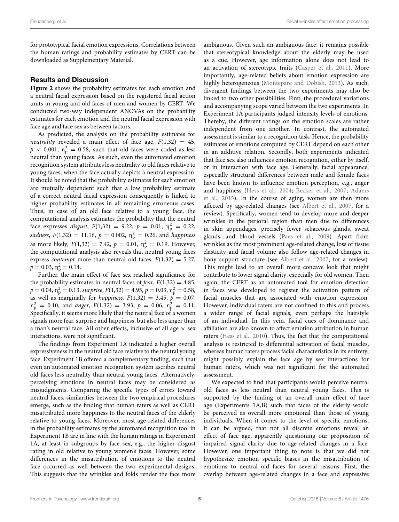for prototypical facial emotion expressions. Correlations between the human ratings and probability estimates by CERT can be downloaded as Supplementary Material.

## Results and Discussion

**[Figure 2](#page-6-0)** shows the probability estimates for each emotion and a neutral facial expression based on the registered facial action units in young and old faces of men and women by CERT. We conducted two-way independent ANOVAs on the probability estimates for each emotion and the neutral facial expression with face age and face sex as between factors.

As predicted, the analysis on the probability estimates for *neutrality* revealed a main effect of face age,  $F(1,32) = 45$ ,  $p < 0.001$ ,  $\eta_{\rm p}^2 = 0.58$ , such that old faces were coded as less neutral than young faces. As such, even the automated emotion recognition system attributes less neutrality to old faces relative to young faces, when the face actually depicts a neutral expression. It should be noted that the probability estimates for each emotion are mutually dependent such that a low probability estimate of a correct neutral facial expression consequently is linked to higher probability estimates in all remaining erroneous cases. Thus, in case of an old face relative to a young face, the computational analysis estimates the probability that the neutral face expresses *disgust*,  $F(1,32) = 9.22$ ,  $p = 0.01$ ,  $\eta_{\rm p}^2 = 0.22$ , *sadness*,  $F(1,32) = 11.16$ ,  $p = 0.002$ ,  $\eta_{\rm p}^2 = 0.26$ , and *happiness* as more likely,  $F(1,32) = 7.42$ ,  $p = 0.01$ ,  $\eta_p^2 = 0.19$ . However, the computational analysis also reveals that neutral young faces express *contempt* more than neutral old faces,  $F(1,32) = 5.27$ ,  $p = 0.03$ ,  $\eta_{\rm p}^2 = 0.14$ .

Further, the main effect of face sex reached significance for the probability estimates in neutral faces of *fear*,  $F(1,32) = 4.85$ ,  $p = 0.04$ ,  $\eta_{\rm p}^2 = 0.13$ , *surprise*,  $F(1,32) = 4.95$ ,  $p = 0.03$ ,  $\eta_{\rm p}^2 = 0.58$ , as well as marginally for *happiness*,  $F(1,32) = 3.45$ ,  $p = 0.07$ ,  $\eta_p^2 = 0.10$ , and *anger*,  $F(1,32) = 3.93$ ,  $p = 0.06$ ,  $\eta_p^2 = 0.11$ . Specifically, it seems more likely that the neutral face of a women signals more fear, surprise and happiness, but also less anger than a man's neutral face. All other effects, inclusive of all age  $\times$  sex interactions, were not significant.

The findings from Experiment 1A indicated a higher overall expressiveness in the neutral old face relative to the neutral young face. Experiment 1B offered a complementary finding, such that even an automated emotion recognition system ascribes neutral old faces less neutrality than neutral young faces. Alternatively, perceiving emotions in neutral faces may be considered as misjudgments. Comparing the specific types of errors toward neutral faces, similarities between the two empirical procedures emerge, such as the finding that human raters as well as CERT misattributed more happiness to the neutral faces of the elderly relative to young faces. Moreover, most age-related differences in the probability estimates by the automated recognition tool in Experiment 1B are in line with the human ratings in Experiment 1A, at least in subgroups by face sex, e.g., the higher disgust rating in old relative to young women's faces. However, some differences in the misattribution of emotions to the neutral face occurred as well between the two experimental designs. This suggests that the wrinkles and folds render the face more

ambiguous. Given such an ambiguous face, it remains possible that stereotypical knowledge about the elderly may be used as a cue. However, age information alone does not lead to an activation of stereotypic traits [\(Casper et al.](#page-11-11), [2011\)](#page-11-11). More importantly, age-related beliefs about emotion expression are highly heterogeneous [\(Montepare and Dobish, 2013\)](#page-12-6). As such, divergent findings between the two experiments may also be linked to two other possibilities. First, the procedural variations and accompanying scope varied between the two experiments. In Experiment 1A participants judged intensity levels of emotions. Thereby, the different ratings on the emotion scales are rather independent from one another. In contrast, the automated assessment is similar to a recognition task. Hence, the probability estimates of emotions computed by CERT depend on each other in an additive relation. Secondly, both experiments indicated that face sex also influences emotion recognition, either by itself, or in interaction with face age. Generally, facial appearance, especially structural differences between male and female faces have been known to influence emotion perception, e.g., anger and [happiness](#page-11-14) [\(Hess et al., 2004](#page-11-12)[;](#page-11-14) [Becker et al.](#page-11-13), [2007](#page-11-13); Adams et al., [2015](#page-11-14)). In the course of aging, women are then more affected by age-related changes (see [Albert et al., 2007,](#page-11-15) for a review). Specifically, women tend to develop more and deeper wrinkles in the perioral region than men due to differences in skin appendages, precisely fewer sebaceous glands, sweat glands, and blood vessels [\(Paes et al.](#page-12-7), [2009\)](#page-12-7). Apart from wrinkles as the most prominent age-related change, loss of tissue elasticity and facial volume also follow age-related changes in bony support structure (see [Albert et al.](#page-11-15), [2007](#page-11-15), for a review). This might lead to an overall more concave look that might contribute to lower signal clarity, especially for old women. Then again, the CERT as an automated tool for emotion detection in faces was developed to register the activation pattern of facial muscles that are associated with emotion expression. However, individual raters are not confined to this and process a wider range of facial signals, even perhaps the hairstyle of an individual. In this vein, facial cues of dominance and affiliation are also known to affect emotion attribution in human raters [\(Hess et al.](#page-11-16), [2010\)](#page-11-16). Thus, the fact that the computational analysis is restricted to differential activation of facial muscles, whereas human raters process facial characteristics in its entirety, might possibly explain the face age by sex interactions for human raters, which was not significant for the automated assessment.

We expected to find that participants would perceive neutral old faces as less neutral than neutral young faces. This is supported by the finding of an overall main effect of face age (Experiments 1A,B) such that faces of the elderly would be perceived as overall more emotional than those of young individuals. When it comes to the level of specific emotions, it can be argued, that not all discrete emotions reveal an effect of face age, apparently questioning our proposition of impaired signal clarity due to age-related changes in a face. However, one important thing to note is that we did not hypothesize emotion specific biases in the misattribution of emotions to neutral old faces for several reasons. First, the overlap between age-related changes in a face and expressive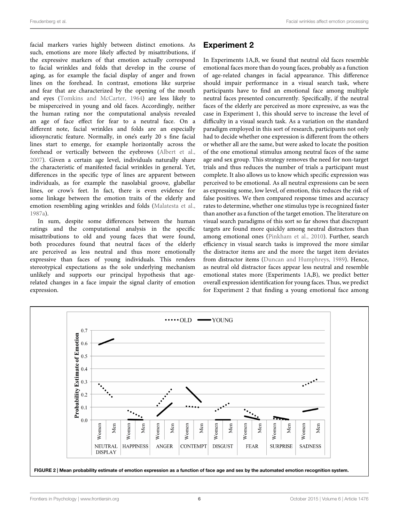facial markers varies highly between distinct emotions. As such, emotions are more likely affected by misattributions, if the expressive markers of that emotion actually correspond to facial wrinkles and folds that develop in the course of aging, as for example the facial display of anger and frown lines on the forehead. In contrast, emotions like surprise and fear that are characterized by the opening of the mouth and eyes [\(Tomkins and McCarter](#page-12-8), [1964\)](#page-12-8) are less likely to be misperceived in young and old faces. Accordingly, neither the human rating nor the computational analysis revealed an age of face effect for fear to a neutral face. On a different note, facial wrinkles and folds are an especially idiosyncratic feature. Normally, in one's early 20 s fine facial lines start to emerge, for example horizontally across the forehead or vertically between the eyebrows [\(Albert et al.](#page-11-15), [2007](#page-11-15)). Given a certain age level, individuals naturally share the characteristic of manifested facial wrinkles in general. Yet, differences in the specific type of lines are apparent between individuals, as for example the nasolabial groove, glabellar lines, or crow's feet. In fact, there is even evidence for some linkage between the emotion traits of the elderly and emotion resembling aging wrinkles and folds [\(Malatesta et al.](#page-11-8), [1987a](#page-11-8)).

In sum, despite some differences between the human ratings and the computational analysis in the specific misattributions to old and young faces that were found, both procedures found that neutral faces of the elderly are perceived as less neutral and thus more emotionally expressive than faces of young individuals. This renders stereotypical expectations as the sole underlying mechanism unlikely and supports our principal hypothesis that agerelated changes in a face impair the signal clarity of emotion expression.

# Experiment 2

In Experiments 1A,B, we found that neutral old faces resemble emotional faces more than do young faces, probably as a function of age-related changes in facial appearance. This difference should impair performance in a visual search task, where participants have to find an emotional face among multiple neutral faces presented concurrently. Specifically, if the neutral faces of the elderly are perceived as more expressive, as was the case in Experiment 1, this should serve to increase the level of difficulty in a visual search task. As a variation on the standard paradigm employed in this sort of research, participants not only had to decide whether one expression is different from the others or whether all are the same, but were asked to locate the position of the one emotional stimulus among neutral faces of the same age and sex group. This strategy removes the need for non-target trials and thus reduces the number of trials a participant must complete. It also allows us to know which specific expression was perceived to be emotional. As all neutral expressions can be seen as expressing some, low level, of emotion, this reduces the risk of false positives. We then compared response times and accuracy rates to determine, whether one stimulus type is recognized faster than another as a function of the target emotion. The literature on visual search paradigms of this sort so far shows that discrepant targets are found more quickly among neutral distractors than among emotional ones [\(Pinkham et al.](#page-12-9), [2010\)](#page-12-9). Further, search efficiency in visual search tasks is improved the more similar the distractor items are and the more the target item deviates from distractor items [\(Duncan and Humphreys, 1989\)](#page-11-17). Hence, as neutral old distractor faces appear less neutral and resemble emotional states more (Experiments 1A,B), we predict better overall expression identification for young faces. Thus, we predict for Experiment 2 that finding a young emotional face among

<span id="page-6-0"></span>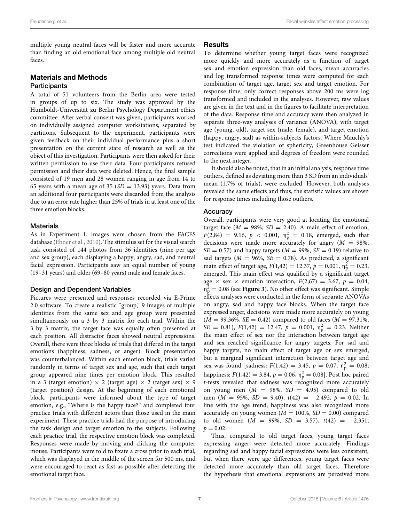multiple young neutral faces will be faster and more accurate than finding an old emotional face among multiple old neutral faces.

## Materials and Methods

#### **Participants**

A total of 51 volunteers from the Berlin area were tested in groups of up to six. The study was approved by the Humboldt-Universität zu Berlin Psychology Department ethics committee. After verbal consent was given, participants worked on individually assigned computer workstations, separated by partitions. Subsequent to the experiment, participants were given feedback on their individual performance plus a short presentation on the current state of research as well as the object of this investigation. Participants were then asked for their written permission to use their data. Four participants refused permission and their data were deleted. Hence, the final sample consisted of 19 men and 28 women ranging in age from 14 to 65 years with a mean age of 35  $(SD = 13.93)$  years. Data from an additional four participants were discarded from the analysis due to an error rate higher than 25% of trials in at least one of the three emotion blocks.

## **Materials**

As in Experiment 1, images were chosen from the FACES database [\(Ebner et al., 2010](#page-11-9)). The stimulus set for the visual search task consisted of 144 photos from 36 identities (nine per age and sex group), each displaying a happy, angry, sad, and neutral facial expression. Participants saw an equal number of young (19–31 years) and older (69–80 years) male and female faces.

## Design and Dependent Variables

Pictures were presented and responses recorded via E-Prime 2.0 software. To create a realistic "group," 9 images of multiple identities from the same sex and age group were presented simultaneously on a 3 by 3 matrix for each trial. Within the 3 by 3 matrix, the target face was equally often presented at each position. All distractor faces showed neutral expressions. Overall, there were three blocks of trials that differed in the target emotions (happiness, sadness, or anger). Block presentation was counterbalanced. Within each emotion block, trials varied randomly in terms of target sex and age, such that each target group appeared nine times per emotion block. This resulted in a 3 (target emotion)  $\times$  2 (target age)  $\times$  2 (target sex)  $\times$  9 (target position) design. At the beginning of each emotional block, participants were informed about the type of target emotion, e.g., "Where is the happy face?" and completed four practice trials with different actors than those used in the main experiment. These practice trials had the purpose of introducing the task design and target emotion to the subjects. Following each practice trial, the respective emotion block was completed. Responses were made by moving and clicking the computer mouse. Participants were told to fixate a cross prior to each trial, which was displayed in the middle of the screen for 500 ms, and were encouraged to react as fast as possible after detecting the emotional target face.

#### **Results**

To determine whether young target faces were recognized more quickly and more accurately as a function of target sex and emotion expression than old faces, mean accuracies and log transformed response times were computed for each combination of target age, target sex and target emotion. For response time, only correct responses above 200 ms were log transformed and included in the analyses. However, raw values are given in the text and in the figures to facilitate interpretation of the data. Response time and accuracy were then analyzed in separate three-way analyses of variance (ANOVA), with target age (young, old), target sex (male, female), and target emotion (happy, angry, sad) as within-subjects factors. Where Mauchly's test indicated the violation of sphericity, Greenhouse Geisser corrections were applied and degrees of freedom were rounded to the next integer.

It should also be noted, that in an initial analysis, response time outliers, defined as deviating more than 3 SD from an individuals' mean (1.7% of trials), were excluded. However, both analyses revealed the same effects and thus, the statistic values are shown for response times including those outliers.

## Accuracy

Overall, participants were very good at locating the emotional target face  $(M = 98\%, SD = 2.40)$ . A main effect of emotion,  $F(2,84) = 9.16, p < 0.001, \eta_p^2 = 0.18,$  emerged, such that decisions were made more accurately for angry  $(M = 98\%$ ,  $SE = 0.57$  and happy targets ( $M = 99\%$ ,  $SE = 0.19$ ) relative to sad targets ( $M = 96\%$ ,  $SE = 0.78$ ). As predicted, a significant main effect of target age,  $F(1,42) = 12.37$ ,  $p = 0.001$ ,  $\eta_p^2 = 0.23$ , emerged. This main effect was qualified by a significant target age  $\times$  sex  $\times$  emotion interaction,  $F(2,67) = 3.67$ ,  $p = 0.04$ ,  $\eta_P^2 = 0.08$  (see **[Figure 3](#page-8-0)**). No other effect was significant. Simple effects analyses were conducted in the form of separate ANOVA effects analyses were conducted in the form of separate ANOVAs on angry, sad and happy face blocks. When the target face expressed anger, decisions were made more accurately on young  $(M = 99.36\%, SE = 0.42)$  compared to old faces  $(M = 97.31\%$ ,  $SE = 0.81$ ,  $F(1,42) = 12.47$ ,  $p = 0.001$ ,  $\eta_p^2 = 0.23$ . Neither the main effect of sex nor the interaction between target age and sex reached significance for angry targets. For sad and happy targets, no main effect of target age or sex emerged, but a marginal significant interaction between target age and sex was found [sadness:  $F(1,42) = 3.45$ ,  $p = 0.07$ ,  $n_p^2 = 0.08$ ; happiness:  $F(1,42) = 3.84$ ,  $p = 0.06$ ,  $\eta_p^2 = 0.08$ ]. Post hoc paired *t*-tests revealed that sadness was recognized more accurately on young men  $(M = 98\%, SD = 4.95)$  compared to old men (*M* = 95%, *SD* = 9.40), *t*(42) = −2.492, *p* = 0.02. In line with the age trend, happiness was also recognized more accurately on young women ( $M = 100\%$ ,  $SD = 0.00$ ) compared to old women (*M* = 99%, *SD* = 3.57), *t*(42) = −2.351,  $p = 0.02$ .

Thus, compared to old target faces, young target faces expressing anger were detected more accurately. Findings regarding sad and happy facial expressions were less consistent, but when there were age differences, young target faces were detected more accurately than old target faces. Therefore the hypothesis that emotional expressions are perceived more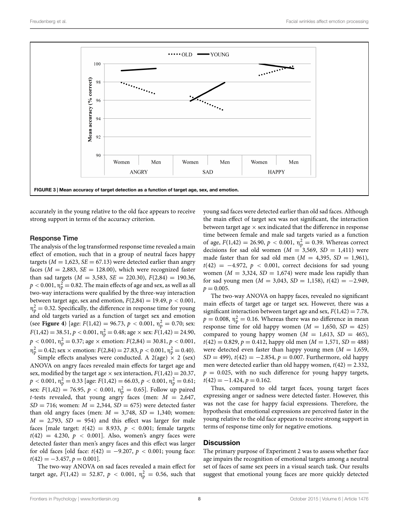

<span id="page-8-0"></span>accurately in the young relative to the old face appears to receive strong support in terms of the accuracy criterion.

## Response Time

The analysis of the log transformed response time revealed a main effect of emotion, such that in a group of neutral faces happy targets  $(M = 1,623, SE = 67.13)$  were detected earlier than angry faces ( $M = 2,883$ ,  $SE = 128.00$ ), which were recognized faster than sad targets ( $M = 3,583$ ,  $SE = 220.30$ ),  $F(2,84) = 190.36$ ,  $p < 0.001$ ,  $\eta_{\rm p}^2 = 0.82$ . The main effects of age and sex, as well as all two-way interactions were qualified by the three-way interaction between target age, sex and emotion,  $F(2,84) = 19.49$ ,  $p < 0.001$ ,  $\eta_{\rm p}^2 = 0.32$ . Specifically, the difference in response time for young and old targets varied as a function of target sex and emotion (see **[Figure 4](#page-9-0)**) [age:  $F(1,42) = 96.73$ ,  $p < 0.001$ ,  $n_p^2 = 0.70$ ; sex:<br> $F(1,42) = 28.51$ ,  $p < 0.001$ ,  $n_p^2 = 0.48$ ; sex:  $p_{\text{S}}(p_{\text{S}}(1,42) = 24.00$  $F(1,42) = 38.51, p < 0.001, \eta_p^2 = 0.48$ ; age × sex:  $F(1,42) = 24.90$ ,  $p < 0.001$ ,  $\eta_p^2 = 0.37$ ; age  $\times$  emotion:  $F(2,84) = 30.81$ ,  $p < 0.001$ ,  $\eta_p^2 = 0.42$ ; sex  $\times$  emotion:  $F(2,84) = 27.83$ ,  $p < 0.001$ ,  $\eta_p^2 = 0.40$ ).

Simple effects analyses were conducted. A 2(age)  $\times$  2 (sex) ANOVA on angry faces revealed main effects for target age and sex, modified by the target age  $\times$  sex interaction,  $F(1,42) = 20.37$ ,  $p < 0.001$ ,  $\eta_p^2 = 0.33$  [age:  $F(1,42) = 66.03$ ,  $p < 0.001$ ,  $\eta_p^2 = 0.61$ ; sex:  $F(1,42) = 76.95$ ,  $p < 0.001$ ,  $\eta_p^2 = 0.65$ ]. Follow up paired *t*-tests revealed, that young angry faces (men:  $M = 2,647$ ,  $SD = 716$ ; women:  $M = 2,344$ ,  $SD = 675$ ) were detected faster than old angry faces (men:  $M = 3,748$ ,  $SD = 1,340$ ; women:  $M = 2,793$ ,  $SD = 954$ ) and this effect was larger for male faces [male target:  $t(42) = 8.933$ ,  $p < 0.001$ ; female targets:  $t(42) = 4.230, p < 0.001$ . Also, women's angry faces were detected faster than men's angry faces and this effect was larger for old faces [old face:  $t(42) = -9.207$ ,  $p < 0.001$ ; young face:  $t(42) = -3.457, p = 0.001$ .

The two-way ANOVA on sad faces revealed a main effect for target age,  $F(1,42) = 52.87, p < 0.001, \eta_{\rm p}^2 = 0.56$ , such that

young sad faces were detected earlier than old sad faces. Although the main effect of target sex was not significant, the interaction between target age  $\times$  sex indicated that the difference in response time between female and male sad targets varied as a function of age,  $F(1,42) = 26.90, p < 0.001, \eta_p^2 = 0.39$ . Whereas correct decisions for sad old women  $(M = 3,569, SD = 1,411)$  were made faster than for sad old men  $(M = 4,395, SD = 1,961)$ , *t*(42) = −4.972, *p* < 0.001, correct decisions for sad young women ( $M = 3,324$ ,  $SD = 1,674$ ) were made less rapidly than for sad young men ( $M = 3,043$ ,  $SD = 1,158$ ),  $t(42) = -2.949$ ,  $p = 0.005$ .

The two-way ANOVA on happy faces, revealed no significant main effects of target age or target sex. However, there was a significant interaction between target age and sex,  $F(1,42) = 7.78$ ,  $p = 0.008$ ,  $\eta_{\rm p}^2 = 0.16$ . Whereas there was no difference in mean response time for old happy women  $(M = 1,650, SD = 425)$ compared to young happy women  $(M = 1,613, SD = 465)$ ,  $t(42) = 0.829, p = 0.412,$  happy old men  $(M = 1,571, SD = 488)$ were detected even faster than happy young men  $(M = 1,659,$  $SD = 499$ ,  $t(42) = -2.854$ ,  $p = 0.007$ . Furthermore, old happy men were detected earlier than old happy women,  $t(42) = 2.332$ ,  $p = 0.025$ , with no such difference for young happy targets,  $t(42) = -1.424, p = 0.162.$ 

Thus, compared to old target faces, young target faces expressing anger or sadness were detected faster. However, this was not the case for happy facial expressions. Therefore, the hypothesis that emotional expressions are perceived faster in the young relative to the old face appears to receive strong support in terms of response time only for negative emotions.

#### **Discussion**

The primary purpose of Experiment 2 was to assess whether face age impairs the recognition of emotional targets among a neutral set of faces of same sex peers in a visual search task. Our results suggest that emotional young faces are more quickly detected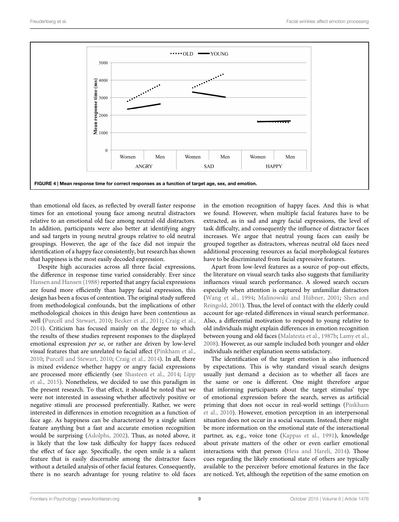

<span id="page-9-0"></span>than emotional old faces, as reflected by overall faster response times for an emotional young face among neutral distractors relative to an emotional old face among neutral old distractors. In addition, participants were also better at identifying angry and sad targets in young neutral groups relative to old neutral groupings. However, the age of the face did not impair the identification of a happy face consistently, but research has shown that happiness is the most easily decoded expression.

Despite high accuracies across all three facial expressions, the difference in response time varied considerably. Ever since [Hansen and Hansen](#page-11-18) [\(1988](#page-11-18)) reported that angry facial expressions are found more efficiently than happy facial expression, this design has been a focus of contention. The original study suffered from methodological confounds, but the implications of other methodological choices in this design have been contentious as well [\(Purcell and Stewart](#page-12-10), [2010;](#page-12-10) [Becker et al., 2011;](#page-11-19) [Craig et al.,](#page-11-20) [2014](#page-11-20)). Criticism has focused mainly on the degree to which the results of these studies represent responses to the displayed emotional expression *per se*, or rather are driven by low-level visual features that are unrelated to facial affect [\(Pinkham et al.,](#page-12-9) [2010](#page-12-9); [Purcell and Stewart, 2010](#page-12-10); [Craig et al.](#page-11-20), [2014](#page-11-20)). In all, there is mixed evidence whether happy or angry facial expressions are processed more efficiently (see [Shasteen et al., 2014](#page-12-11); Lipp et al., [2015\)](#page-11-21). Nonetheless, we decided to use this paradigm in the present research. To that effect, it should be noted that we were not interested in assessing whether affectively positive or negative stimuli are processed preferentially. Rather, we were interested in differences in emotion recognition as a function of face age. As happiness can be characterized by a single salient feature anything but a fast and accurate emotion recognition would be surprising [\(Adolphs, 2002](#page-11-22)). Thus, as noted above, it is likely that the low task difficulty for happy faces reduced the effect of face age. Specifically, the open smile is a salient feature that is easily discernable among the distractor faces without a detailed analysis of other facial features. Consequently, there is no search advantage for young relative to old faces

in the emotion recognition of happy faces. And this is what we found. However, when multiple facial features have to be extracted, as in sad and angry facial expressions, the level of task difficulty, and consequently the influence of distractor faces increases. We argue that neutral young faces can easily be grouped together as distractors, whereas neutral old faces need additional processing resources as facial morphological features have to be discriminated from facial expressive features.

Apart from low-level features as a source of pop-out effects, the literature on visual search tasks also suggests that familiarity influences visual search performance. A slowed search occurs especially when attention is captured by unfamiliar distractors [\(Wang et al.](#page-12-12), [1994;](#page-12-12) [Malinowski and Hübner](#page-12-13)[,](#page-12-14) [2001](#page-12-13)[;](#page-12-14) Shen and Reingold, [2001\)](#page-12-14). Thus, the level of contact with the elderly could account for age-related differences in visual search performance. Also, a differential motivation to respond to young relative to old individuals might explain differences in emotion recognition between young and old faces [\(Malatesta et al.](#page-11-4), [1987b](#page-11-4); [Lamy et al.](#page-11-23), [2008](#page-11-23)). However, as our sample included both younger and older individuals neither explanation seems satisfactory.

The identification of the target emotion is also influenced by expectations. This is why standard visual search designs usually just demand a decision as to whether all faces are the same or one is different. One might therefore argue that informing participants about the target stimulus' type of emotional expression before the search, serves as artificial prim[ing that does not occur in real-world settings \(](#page-12-9)Pinkham et al., [2010\)](#page-12-9). However, emotion perception in an interpersonal situation does not occur in a social vacuum. Instead, there might be more information on the emotional state of the interactional partner, as, e.g., voice tone [\(Kappas et al.](#page-11-24), [1991](#page-11-24)), knowledge about private matters of the other or even earlier emotional interactions with that person [\(Hess and Hareli, 2014\)](#page-11-25). Those cues regarding the likely emotional state of others are typically available to the perceiver before emotional features in the face are noticed. Yet, although the repetition of the same emotion on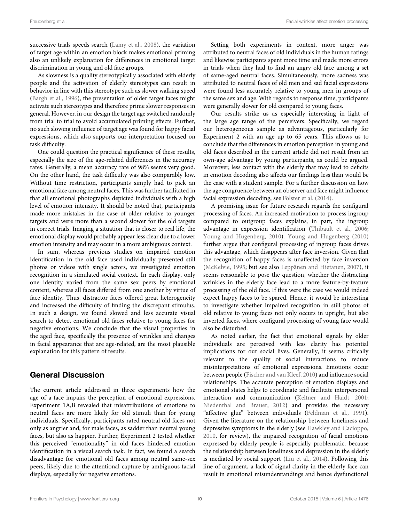successive trials speeds search [\(Lamy et al.](#page-11-23), [2008\)](#page-11-23), the variation of target age within an emotion block makes emotional priming also an unlikely explanation for differences in emotional target discrimination in young and old face groups.

As slowness is a quality stereotypically associated with elderly people and the activation of elderly stereotypes can result in behavior in line with this stereotype such as slower walking speed [\(Bargh et al.](#page-11-26), [1996\)](#page-11-26), the presentation of older target faces might activate such stereotypes and therefore prime slower responses in general. However, in our design the target age switched randomly from trial to trial to avoid accumulated priming effects. Further, no such slowing influence of target age was found for happy facial expressions, which also supports our interpretation focused on task difficulty.

One could question the practical significance of these results, especially the size of the age-related differences in the accuracy rates. Generally, a mean accuracy rate of 98% seems very good. On the other hand, the task difficulty was also comparably low. Without time restriction, participants simply had to pick an emotional face among neutral faces. This was further facilitated in that all emotional photographs depicted individuals with a high level of emotion intensity. It should be noted that, participants made more mistakes in the case of older relative to younger targets and were more than a second slower for the old targets in correct trials. Imaging a situation that is closer to real life, the emotional display would probably appear less clear due to a lower emotion intensity and may occur in a more ambiguous context.

In sum, whereas previous studies on impaired emotion identification in the old face used individually presented still photos or videos with single actors, we investigated emotion recognition in a simulated social context. In each display, only one identity varied from the same sex peers by emotional content, whereas all faces differed from one another by virtue of face identity. Thus, distractor faces offered great heterogeneity and increased the difficulty of finding the discrepant stimulus. In such a design, we found slowed and less accurate visual search to detect emotional old faces relative to young faces for negative emotions. We conclude that the visual properties in the aged face, specifically the presence of wrinkles and changes in facial appearance that are age-related, are the most plausible explanation for this pattern of results.

# General Discussion

The current article addressed in three experiments how the age of a face impairs the perception of emotional expressions. Experiment 1A,B revealed that misattributions of emotions to neutral faces are more likely for old stimuli than for young individuals. Specifically, participants rated neutral old faces not only as angrier and, for male faces, as sadder than neutral young faces, but also as happier. Further, Experiment 2 tested whether this perceived "emotionality" in old faces hindered emotion identification in a visual search task. In fact, we found a search disadvantage for emotional old faces among neutral same-sex peers, likely due to the attentional capture by ambiguous facial displays, especially for negative emotions.

Setting both experiments in context, more anger was attributed to neutral faces of old individuals in the human ratings and likewise participants spent more time and made more errors in trials when they had to find an angry old face among a set of same-aged neutral faces. Simultaneously, more sadness was attributed to neutral faces of old men and sad facial expressions were found less accurately relative to young men in groups of the same sex and age. With regards to response time, participants were generally slower for old compared to young faces.

Our results strike us as especially interesting in light of the large age range of the perceivers. Specifically, we regard our heterogeneous sample as advantageous, particularly for Experiment 2 with an age up to 65 years. This allows us to conclude that the differences in emotion perception in young and old faces described in the current article did not result from an own-age advantage by young participants, as could be argued. Moreover, less contact with the elderly that may lead to deficits in emotion decoding also affects our findings less than would be the case with a student sample. For a further discussion on how the age congruence between an observer and face might influence facial expression decoding, see [Fölster et al.](#page-11-3) [\(2014\)](#page-11-3).

A promising issue for future research regards the configural processing of faces. An increased motivation to process ingroup compared to outgroup faces explains, in part, the ingroup advantage in expression identification [\(Thibault et al., 2006](#page-12-4); [Young and Hugenberg, 2010\)](#page-12-5). [Young and Hugenberg](#page-12-5) [\(2010\)](#page-12-5) further argue that configural processing of ingroup faces drives this advantage, which disappears after face inversion. Given that the recognition of happy faces is unaffected by face inversion [\(McKelvie, 1995](#page-12-15); but see also [Leppänen and Hietanen, 2007](#page-11-27)), it seems reasonable to pose the question, whether the distracting wrinkles in the elderly face lead to a more feature-by-feature processing of the old face. If this were the case we would indeed expect happy faces to be spared. Hence, it would be interesting to investigate whether impaired recognition in still photos of old relative to young faces not only occurs in upright, but also inverted faces, where configural processing of young face would also be disturbed.

As noted earlier, the fact that emotional signals by older individuals are perceived with less clarity has potential implications for our social lives. Generally, it seems critically relevant to the quality of social interactions to reduce misinterpretations of emotional expressions. Emotions occur between people [\(Fischer and van Kleef](#page-11-28), [2010\)](#page-11-28) and influence social relationships. The accurate perception of emotion displays and emotional states helps to coordinate and facilitate interpersonal interaction and communication [\(Keltner and Haidt](#page-11-29), [2001](#page-11-29); [Niedenthal and Brauer, 2012\)](#page-12-16) and provides the necessary "affective glue" between individuals [\(Feldman et al., 1991\)](#page-11-30). Given the literature on the relationship between loneliness and depressive symptoms in the elderly (see [Hawkley and Cacioppo,](#page-11-31) [2010,](#page-11-31) for review), the impaired recognition of facial emotions expressed by elderly people is especially problematic, because the relationship between loneliness and depression in the elderly is mediated by social support [\(Liu et al., 2014\)](#page-11-32). Following this line of argument, a lack of signal clarity in the elderly face can result in emotional misunderstandings and hence dysfunctional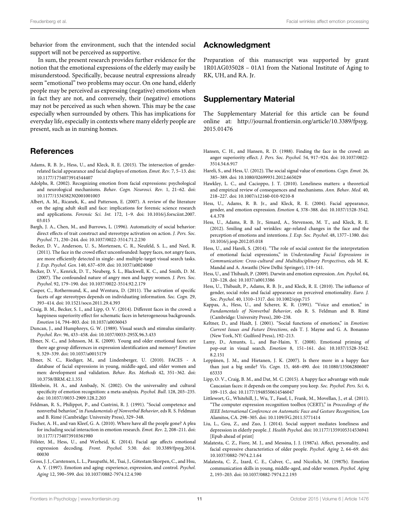behavior from the environment, such that the intended social support will not be perceived as supportive.

In sum, the present research provides further evidence for the notion that the emotional expressions of the elderly may easily be misunderstood. Specifically, because neutral expressions already seem "emotional" two problems may occur. On one hand, elderly people may be perceived as expressing (negative) emotions when in fact they are not, and conversely, their (negative) emotions may not be perceived as such when shown. This may be the case especially when surrounded by others. This has implications for everyday life, especially in contexts where many elderly people are present, such as in nursing homes.

# **References**

- <span id="page-11-14"></span>Adams, R. B. Jr., Hess, U., and Kleck, R. E. (2015). The intersection of genderrelated facial appearance and facial displays of emotion. *Emot. Rev.* 7, 5–13. doi: 10.1177/1754073914544407
- <span id="page-11-22"></span>Adolphs, R. (2002). Recognizing emotion from facial expressions: psychological and neurological mechanisms. *Behav. Cogn. Neurosci. Rev.* 1, 21–62. doi: 10.1177/1534582302001001003
- <span id="page-11-15"></span>Albert, A. M., Ricanek, K., and Patterson, E. (2007). A review of the literature on the aging adult skull and face: implications for forensic science research and applications. *Forensic Sci. Int.* 172, 1–9. doi: 10.1016/j.forsciint.2007. 03.015
- <span id="page-11-26"></span>Bargh, J. A., Chen, M., and Burrows, L. (1996). Automaticity of social behavior: direct effects of trait construct and stereotype activation on action. *J. Pers. Soc. Psychol.* 71, 230–244. doi: 10.1037/0022-3514.71.2.230
- <span id="page-11-19"></span>Becker, D. V., Anderson, U. S., Mortensen, C. R., Neufeld, S. L., and Neel, R. (2011). The face in the crowd effect unconfounded: happy faces, not angry faces, are more efficiently detected in single- and multiple-target visual search tasks. *J. Exp. Psychol. Gen.* 140, 637–659. doi: 10.1037/a0024060
- <span id="page-11-13"></span>Becker, D. V., Kenrick, D. T., Neuberg, S. L., Blackwell, K. C., and Smith, D. M. (2007). The confounded nature of angry men and happy women. *J. Pers. Soc. Psychol.* 92, 179–190. doi: 10.1037/0022-3514.92.2.179
- <span id="page-11-11"></span>Casper, C., Rothermund, K., and Wentura, D. (2011). The activation of specific facets of age stereotypes depends on individuating information. *Soc. Cogn.* 29, 393–414. doi: 10.1521/soco.2011.29.4.393
- <span id="page-11-20"></span>Craig, B. M., Becker, S. I., and Lipp, O. V. (2014). Different faces in the crowd: a happiness superiority effect for schematic faces in heterogeneous backgrounds. *Emotion* 14, 794–803. doi: 10.1037/a0036043
- <span id="page-11-17"></span>Duncan, J., and Humphreys, G. W. (1989). Visual search and stimulus similarity. *Psychol. Rev.* 96, 433–458. doi: 10.1037/0033-295X.96.3.433
- <span id="page-11-7"></span>Ebner, N. C., and Johnson, M. K. (2009). Young and older emotional faces: are there age group differences in expression identification and memory? *Emotion* 9, 329–339. doi: 10.1037/a0015179
- <span id="page-11-9"></span>Ebner, N. C., Riediger, M., and Lindenberger, U. (2010). FACES - A database of facial expressions in young, middle-aged, and older women and men: development and validation. *Behav. Res. Methods* 42, 351–362. doi: 10.3758/BRM.42.1.351
- <span id="page-11-2"></span>Elfenbein, H. A., and Ambady, N. (2002). On the universality and cultural specificity of emotion recognition: a meta-analysis. *Psychol. Bull.* 128, 203–235. doi: 10.1037//0033-2909.128.2.203
- <span id="page-11-30"></span>Feldman, R. S., Philippot, P., and Custrini, R. J. (1991). "Social competence and nonverbal behavior," in *Fundamentals of Nonverbal Behavior*, eds R. S. Feldman and B. Rimé (Cambridge: University Press), 329–348.
- <span id="page-11-28"></span>Fischer, A. H., and van Kleef, G. A. (2010). Where have all the people gone? A plea for including social interaction in emotion research. *Emot. Rev.* 2, 208–211. doi: 10.1177/1754073910361980
- <span id="page-11-3"></span>Fölster, M., Hess, U., and Werheid, K. (2014). Facial age affects emotional expression decoding. *Front. Psychol.* 5:30. doi: 10.3389/fpsyg.2014. 00030
- <span id="page-11-5"></span>Gross, J. J., Carstensen, L. L., Pasupathi, M., Tsai, J., Götestam Skorpen, C., and Hsu, A. Y. (1997). Emotion and aging: experience, expression, and control. *Psychol. Aging* 12, 590–599. doi: 10.1037/0882-7974.12.4.590

## Acknowledgment

Preparation of this manuscript was supported by grant 1R01AG035028 – 01A1 from the National Institute of Aging to RK, UH, and RA. Jr.

# Supplementary Material

The Supplementary Material for this article can be found online at: [http://journal](http://journal.frontiersin.org/article/10.3389/fpsyg.2015.01476)*.*frontiersin*.*org/article/10*.*3389/fpsyg*.* 2015*.*[01476](http://journal.frontiersin.org/article/10.3389/fpsyg.2015.01476)

- <span id="page-11-18"></span>Hansen, C. H., and Hansen, R. D. (1988). Finding the face in the crowd: an anger superiority effect. *J. Pers. Soc. Psychol.* 54, 917–924. doi: 10.1037/0022- 3514.54.6.917
- <span id="page-11-0"></span>Hareli, S., and Hess, U. (2012). The social signal value of emotions. *Cogn. Emot.* 26, 385–389. doi: 10.1080/02699931.2012.665029
- <span id="page-11-31"></span>Hawkley, L. C., and Cacioppo, J. T. (2010). Loneliness matters: a theoretical and empirical review of consequences and mechanisms. *Ann. Behav. Med.* 40, 218–227. doi: 10.1007/s12160-010-9210-8
- <span id="page-11-12"></span>Hess, U., Adams, R. B. Jr., and Kleck, R. E. (2004). Facial appearance, gender, and emotion expression. *Emotion* 4, 378–388. doi: 10.1037/1528-3542. 4.4.378
- <span id="page-11-6"></span>Hess, U., Adams, R. B. Jr., Simard, A., Stevenson, M. T., and Kleck, R. E. (2012). Smiling and sad wrinkles: age-related changes in the face and the perception of emotions and intentions. *J. Exp. Soc. Psychol.* 48, 1377–1380. doi: 10.1016/j.jesp.2012.05.018
- <span id="page-11-25"></span>Hess, U., and Hareli, S. (2014). "The role of social context for the interpretation of emotional facial expressions," in *Understanding Facial Expressions in Communication: Cross-cultural and Multidisciplinary Perspectives*, eds M. K. Mandal and A. Awasthi (New Delhi: Springer), 119–141.
- <span id="page-11-1"></span>Hess, U., and Thibault, P. (2009). Darwin and emotion expression. *Am. Psychol.* 64, 120–128. doi: 10.1037/a0013386
- <span id="page-11-16"></span>Hess, U., Thibault, P., Adams, R. B. Jr., and Kleck, R. E. (2010). The influence of gender, social roles and facial appearance on perceived emotionality. *Euro. J. Soc. Psychol.* 40, 1310–1317. doi: 10.1002/ejsp.715
- <span id="page-11-24"></span>Kappas, A., Hess, U., and Scherer, K. R. (1991). "Voice and emotion," in *Fundamentals of Nonverbal Behavior*, eds R. S. Feldman and B. Rimé (Cambridge: University Press), 200–238.
- <span id="page-11-29"></span>Keltner, D., and Haidt, J. (2001). "Social functions of emotions," in *Emotion: Current Issues and Future Directions*, eds T. J. Mayne and G. A. Bonanno (New York, NY: Guilford Press), 192–213.
- <span id="page-11-23"></span>Lamy, D., Amunts, L., and Bar-Haim, Y. (2008). Emotional priming of pop-out in visual search. *Emotion* 8, 151–161. doi: 10.1037/1528-3542. 8.2.151
- <span id="page-11-27"></span>Leppänen, J. M., and Hietanen, J. K. (2007). Is there more in a happy face than just a big smile? *Vis. Cogn.* 15, 468–490. doi: 10.1080/135062806007 65333
- <span id="page-11-21"></span>Lipp, O. V., Craig, B. M., and Dat, M. C. (2015). A happy face advantage with male Caucasian faces: it depends on the company you keep. *Soc. Psychol. Pers. Sci.* 6, 109–115. doi: 10.1177/1948550614546047
- <span id="page-11-10"></span>Littlewort, G., Whitehill, J., Wu, T., Fasel, I., Frank, M., Movellan, J., et al. (2011). "The computer expression recognition toolbox (CERT)," in *Proceedings of the IEEE International Conference on Automatic Face and Gesture Recognition*, Los Alamitos, CA. 298–305. doi: 10.1109/FG.2011.5771414
- <span id="page-11-32"></span>Liu, L., Gou, Z., and Zuo, J. (2014). Social support mediates loneliness and depression in elderly people. *J. Health Psychol.* doi: 10.1177/1359105314536941 [Epub ahead of print]
- <span id="page-11-8"></span>Malatesta, C. Z., Fiore, M. J., and Messina, J. J. (1987a). Affect, personality, and facial expressive characteristics of older people. *Psychol. Aging* 2, 64–69. doi: 10.1037/0882-7974.2.1.64
- <span id="page-11-4"></span>Malatesta, C. Z., Izard, C. E., Culver, C., and Nicolich, M. (1987b). Emotion communication skills in young, middle-aged, and older women. *Psychol. Aging* 2, 193–203. doi: 10.1037/0882-7974.2.2.193